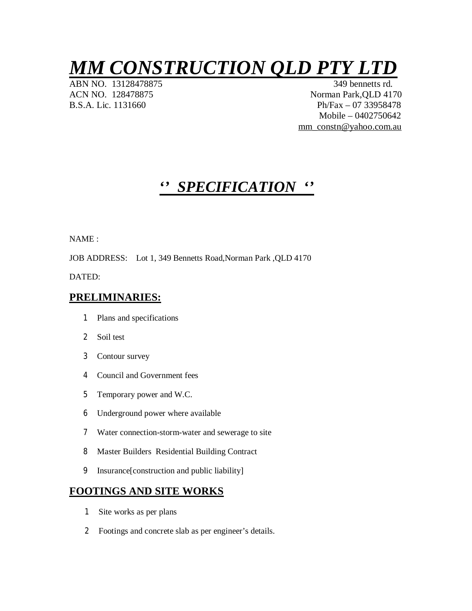# *MM CONSTRUCTION QLD PTY LTD*

ABN NO. 13128478875

ACN NO. 128478875 Norman Park, QLD 4170 B.S.A. Lic. 1131660 Ph/Fax – 07 33958478 Mobile – 0402750642 mm\_constn@yahoo.com.au

## *'' SPECIFICATION ''*

NAME :

JOB ADDRESS: Lot 1, 349 Bennetts Road,Norman Park ,QLD 4170

DATED:

## **PRELIMINARIES:**

- 1 Plans and specifications
- 2 Soil test
- 3 Contour survey
- 4 Council and Government fees
- 5 Temporary power and W.C.
- 6 Underground power where available
- 7 Water connection-storm-water and sewerage to site
- 8 Master Builders Residential Building Contract
- 9 Insurance[construction and public liability]

## **FOOTINGS AND SITE WORKS**

- 1 Site works as per plans
- 2 Footings and concrete slab as per engineer's details.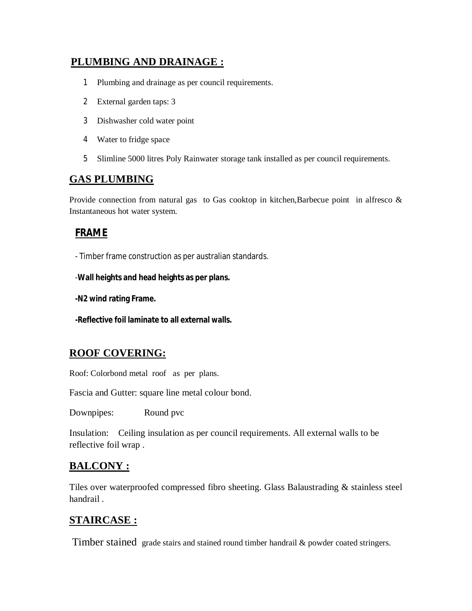## **PLUMBING AND DRAINAGE :**

- 1 Plumbing and drainage as per council requirements.
- 2 External garden taps: 3
- 3 Dishwasher cold water point
- 4 Water to fridge space
- 5 Slimline 5000 litres Poly Rainwater storage tank installed as per council requirements.

## **GAS PLUMBING**

Provide connection from natural gas to Gas cooktop in kitchen, Barbecue point in alfresco & Instantaneous hot water system.

### **FRAME**

- Timber frame construction as per australian standards.

-**Wall heights and head heights as per plans.**

**-N2 wind rating Frame.**

**-Reflective foil laminate to all external walls.**

## **ROOF COVERING:**

Roof: Colorbond metal roof as per plans.

Fascia and Gutter: square line metal colour bond.

Downpipes: Round pvc

Insulation: Ceiling insulation as per council requirements. All external walls to be reflective foil wrap .

## **BALCONY :**

Tiles over waterproofed compressed fibro sheeting. Glass Balaustrading & stainless steel handrail .

## **STAIRCASE :**

Timber stained grade stairs and stained round timber handrail & powder coated stringers.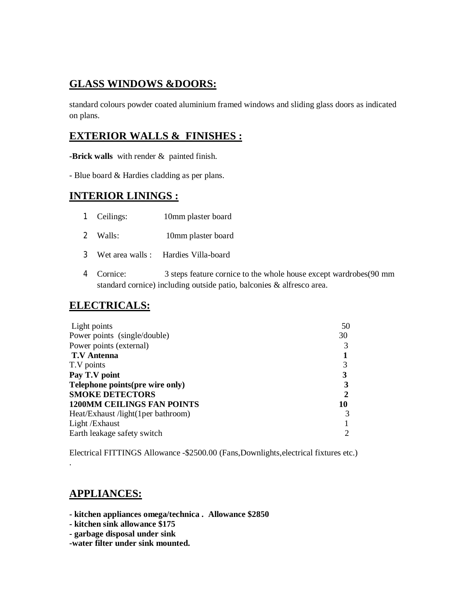## **GLASS WINDOWS &DOORS:**

standard colours powder coated aluminium framed windows and sliding glass doors as indicated on plans.

## **EXTERIOR WALLS & FINISHES :**

**-Brick walls** with render & painted finish.

- Blue board & Hardies cladding as per plans.

## **INTERIOR LININGS :**

- 1 Ceilings: 10mm plaster board
- 2 Walls: 10mm plaster board
- 3 Wet area walls : Hardies Villa-board
- 4 Cornice: 3 steps feature cornice to the whole house except wardrobes(90 mm standard cornice) including outside patio, balconies & alfresco area.

## **ELECTRICALS:**

| 50 |
|----|
| 30 |
|    |
|    |
|    |
| 3  |
|    |
| 2  |
| 10 |
| 3  |
|    |
|    |
|    |

Electrical FITTINGS Allowance -\$2500.00 (Fans,Downlights,electrical fixtures etc.) .

## **APPLIANCES:**

- **kitchen appliances omega/technica . Allowance \$2850**
- **kitchen sink allowance \$175**
- **garbage disposal under sink**
- **-water filter under sink mounted.**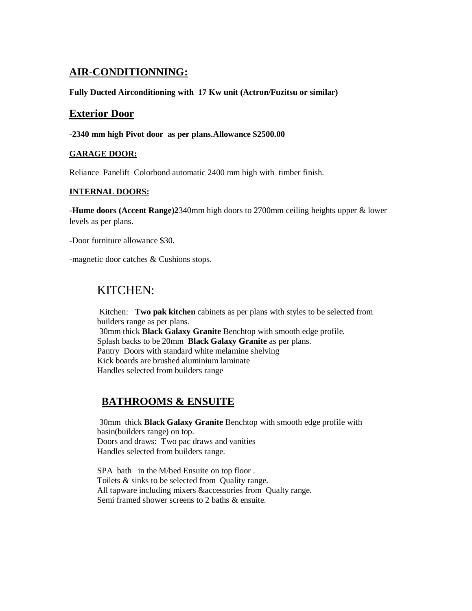## **AIR-CONDITIONNING:**

**Fully Ducted Airconditioning with 17 Kw unit (Actron/Fuzitsu or similar)**

## **Exterior Door**

#### **-2340 mm high Pivot door as per plans.Allowance \$2500.00**

#### **GARAGE DOOR:**

Reliance Panelift Colorbond automatic 2400 mm high with timber finish.

#### **INTERNAL DOORS:**

**-Hume doors (Accent Range)2**340mm high doors to 2700mm ceiling heights upper & lower levels as per plans.

-Door furniture allowance \$30.

-magnetic door catches & Cushions stops.

## KITCHEN:

 Kitchen: **Two pak kitchen** cabinets as per plans with styles to be selected from builders range as per plans. 30mm thick **Black Galaxy Granite** Benchtop with smooth edge profile. Splash backs to be 20mm **Black Galaxy Granite** as per plans. Pantry Doors with standard white melamine shelving Kick boards are brushed aluminium laminate Handles selected from builders range

## **BATHROOMS & ENSUITE**

 30mm thick **Black Galaxy Granite** Benchtop with smooth edge profile with basin(builders range) on top. Doors and draws: Two pac draws and vanities Handles selected from builders range.

SPA bath in the M/bed Ensuite on top floor. Toilets & sinks to be selected from Quality range. All tapware including mixers &accessories from Qualty range. Semi framed shower screens to 2 baths & ensuite.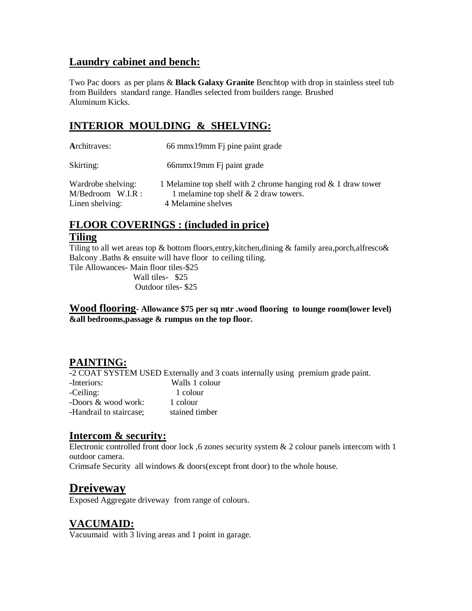## **Laundry cabinet and bench:**

Two Pac doors as per plans & **Black Galaxy Granite** Benchtop with drop in stainless steel tub from Builders standard range. Handles selected from builders range. Brushed Aluminum Kicks.

## **INTERIOR MOULDING & SHELVING:**

| Architraves:                                                 | 66 mmx19mm Fj pine paint grade                                                                                                 |
|--------------------------------------------------------------|--------------------------------------------------------------------------------------------------------------------------------|
| Skirting:                                                    | 66mmx19mm Fi paint grade                                                                                                       |
| Wardrobe shelving:<br>$M/Bedroom$ W.I.R :<br>Linen shelving: | 1 Melamine top shelf with 2 chrome hanging rod & 1 draw tower<br>1 melamine top shelf $& 2$ draw towers.<br>4 Melamine shelves |

## **FLOOR COVERINGS : (included in price) Tiling**

Tiling to all wet areas top & bottom floors, entry, kitchen, dining & family area, porch, alfresco & Balcony .Baths & ensuite will have floor to ceiling tiling.

Tile Allowances- Main floor tiles-\$25 Wall tiles- \$25 Outdoor tiles- \$25

**Wood flooring- Allowance \$75 per sq mtr .wood flooring to lounge room(lower level) &all bedrooms,passage & rumpus on the top floor.**

## **PAINTING:**

**-**2 COAT SYSTEM USED Externally and 3 coats internally using premium grade paint.

| -Interiors:             | Walls 1 colour |
|-------------------------|----------------|
| -Ceiling:               | 1 colour       |
| -Doors & wood work:     | 1 colour       |
| -Handrail to staircase: | stained timber |

## **Intercom & security:**

Electronic controlled front door lock ,6 zones security system & 2 colour panels intercom with 1 outdoor camera.

Crimsafe Security all windows & doors(except front door) to the whole house.

## **Dreiveway**

Exposed Aggregate driveway from range of colours.

## **VACUMAID:**

Vacuumaid with 3 living areas and 1 point in garage.